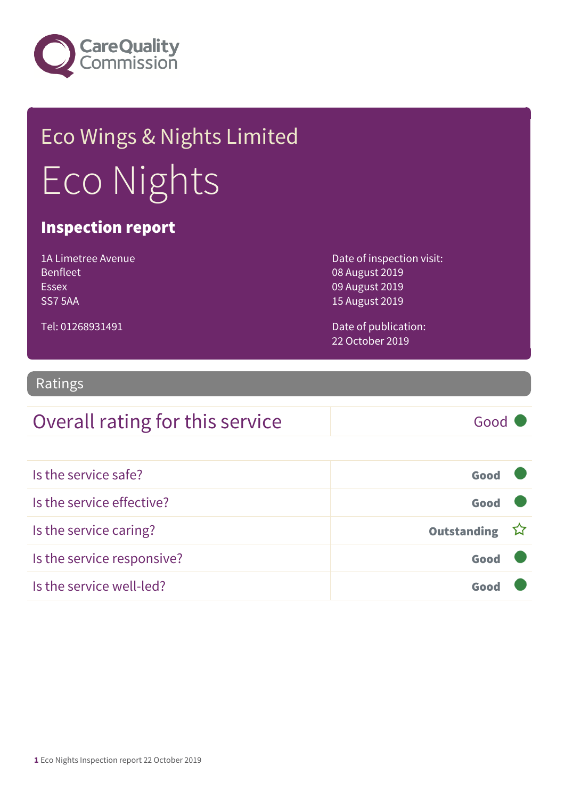

# Eco Wings & Nights Limited Eco Nights

### Inspection report

| 1A Limetree Avenue |
|--------------------|
| <b>Benfleet</b>    |
| Essex              |
| SS75AA             |

Date of inspection visit: 08 August 2019 09 August 2019 15 August 2019

Tel: 01268931491

Date of publication: 22 October 2019

### Ratings

### Overall rating for this service Good

| Is the service safe?       | Good          |  |
|----------------------------|---------------|--|
| Is the service effective?  | Good          |  |
| Is the service caring?     | Outstanding ☆ |  |
| Is the service responsive? | Good          |  |
| Is the service well-led?   |               |  |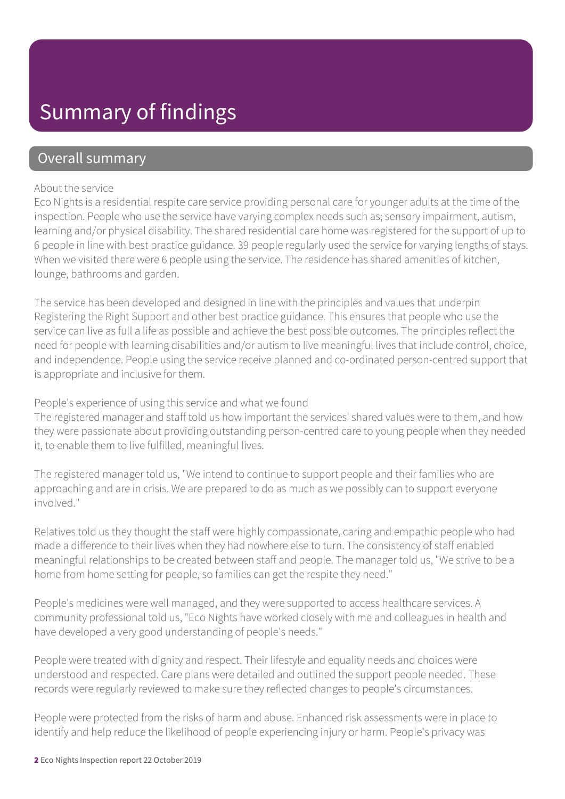### Summary of findings

### Overall summary

#### About the service

Eco Nights is a residential respite care service providing personal care for younger adults at the time of the inspection. People who use the service have varying complex needs such as; sensory impairment, autism, learning and/or physical disability. The shared residential care home was registered for the support of up to 6 people in line with best practice guidance. 39 people regularly used the service for varying lengths of stays. When we visited there were 6 people using the service. The residence has shared amenities of kitchen, lounge, bathrooms and garden.

The service has been developed and designed in line with the principles and values that underpin Registering the Right Support and other best practice guidance. This ensures that people who use the service can live as full a life as possible and achieve the best possible outcomes. The principles reflect the need for people with learning disabilities and/or autism to live meaningful lives that include control, choice, and independence. People using the service receive planned and co-ordinated person-centred support that is appropriate and inclusive for them.

#### People's experience of using this service and what we found

The registered manager and staff told us how important the services' shared values were to them, and how they were passionate about providing outstanding person-centred care to young people when they needed it, to enable them to live fulfilled, meaningful lives.

The registered manager told us, "We intend to continue to support people and their families who are approaching and are in crisis. We are prepared to do as much as we possibly can to support everyone involved."

Relatives told us they thought the staff were highly compassionate, caring and empathic people who had made a difference to their lives when they had nowhere else to turn. The consistency of staff enabled meaningful relationships to be created between staff and people. The manager told us, "We strive to be a home from home setting for people, so families can get the respite they need."

People's medicines were well managed, and they were supported to access healthcare services. A community professional told us, "Eco Nights have worked closely with me and colleagues in health and have developed a very good understanding of people's needs."

People were treated with dignity and respect. Their lifestyle and equality needs and choices were understood and respected. Care plans were detailed and outlined the support people needed. These records were regularly reviewed to make sure they reflected changes to people's circumstances.

People were protected from the risks of harm and abuse. Enhanced risk assessments were in place to identify and help reduce the likelihood of people experiencing injury or harm. People's privacy was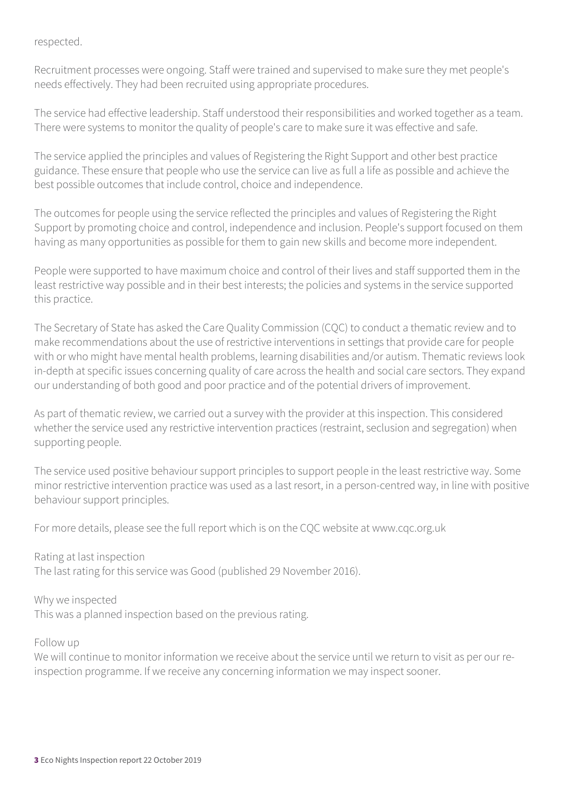#### respected.

Recruitment processes were ongoing. Staff were trained and supervised to make sure they met people's needs effectively. They had been recruited using appropriate procedures.

The service had effective leadership. Staff understood their responsibilities and worked together as a team. There were systems to monitor the quality of people's care to make sure it was effective and safe.

The service applied the principles and values of Registering the Right Support and other best practice guidance. These ensure that people who use the service can live as full a life as possible and achieve the best possible outcomes that include control, choice and independence.

The outcomes for people using the service reflected the principles and values of Registering the Right Support by promoting choice and control, independence and inclusion. People's support focused on them having as many opportunities as possible for them to gain new skills and become more independent.

People were supported to have maximum choice and control of their lives and staff supported them in the least restrictive way possible and in their best interests; the policies and systems in the service supported this practice.

The Secretary of State has asked the Care Quality Commission (CQC) to conduct a thematic review and to make recommendations about the use of restrictive interventions in settings that provide care for people with or who might have mental health problems, learning disabilities and/or autism. Thematic reviews look in-depth at specific issues concerning quality of care across the health and social care sectors. They expand our understanding of both good and poor practice and of the potential drivers of improvement.

As part of thematic review, we carried out a survey with the provider at this inspection. This considered whether the service used any restrictive intervention practices (restraint, seclusion and segregation) when supporting people.

The service used positive behaviour support principles to support people in the least restrictive way. Some minor restrictive intervention practice was used as a last resort, in a person-centred way, in line with positive behaviour support principles.

For more details, please see the full report which is on the CQC website at www.cqc.org.uk

Rating at last inspection The last rating for this service was Good (published 29 November 2016).

Why we inspected This was a planned inspection based on the previous rating.

Follow up

We will continue to monitor information we receive about the service until we return to visit as per our reinspection programme. If we receive any concerning information we may inspect sooner.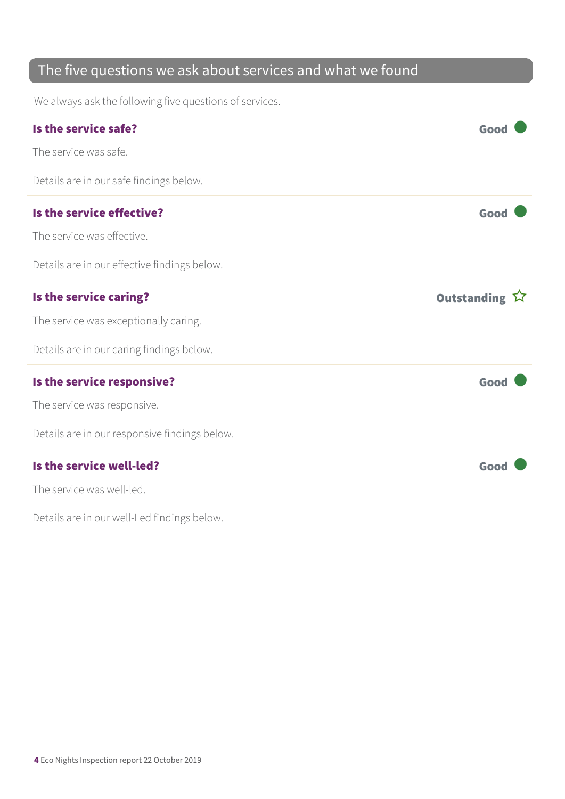### The five questions we ask about services and what we found

We always ask the following five questions of services.

| Is the service safe?                          | Good          |
|-----------------------------------------------|---------------|
| The service was safe.                         |               |
| Details are in our safe findings below.       |               |
| Is the service effective?                     | Good          |
| The service was effective.                    |               |
| Details are in our effective findings below.  |               |
| Is the service caring?                        | Outstanding ☆ |
| The service was exceptionally caring.         |               |
| Details are in our caring findings below.     |               |
| Is the service responsive?                    | Good          |
| The service was responsive.                   |               |
| Details are in our responsive findings below. |               |
| Is the service well-led?                      | Good          |
| The service was well-led.                     |               |
| Details are in our well-Led findings below.   |               |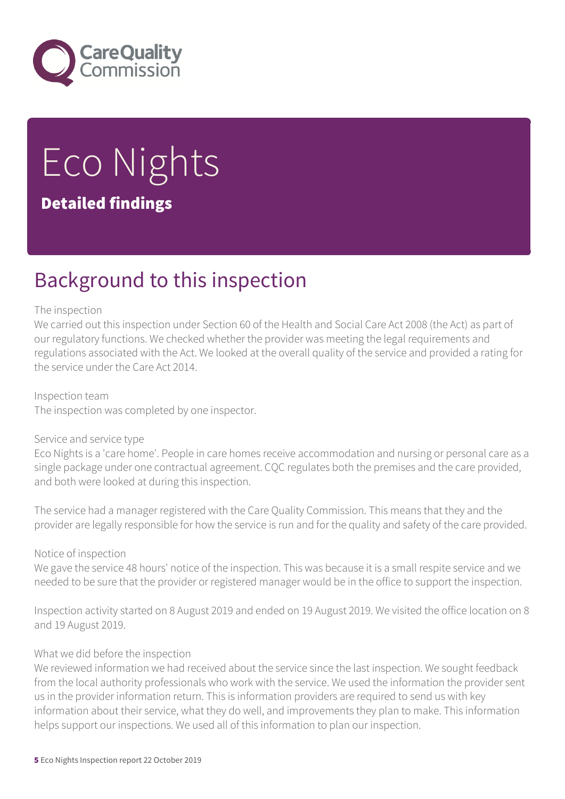

# Eco Nights Detailed findings

## Background to this inspection

#### The inspection

We carried out this inspection under Section 60 of the Health and Social Care Act 2008 (the Act) as part of our regulatory functions. We checked whether the provider was meeting the legal requirements and regulations associated with the Act. We looked at the overall quality of the service and provided a rating for the service under the Care Act 2014.

Inspection team The inspection was completed by one inspector.

#### Service and service type

Eco Nights is a 'care home'. People in care homes receive accommodation and nursing or personal care as a single package under one contractual agreement. CQC regulates both the premises and the care provided, and both were looked at during this inspection.

The service had a manager registered with the Care Quality Commission. This means that they and the provider are legally responsible for how the service is run and for the quality and safety of the care provided.

#### Notice of inspection

We gave the service 48 hours' notice of the inspection. This was because it is a small respite service and we needed to be sure that the provider or registered manager would be in the office to support the inspection.

Inspection activity started on 8 August 2019 and ended on 19 August 2019. We visited the office location on 8 and 19 August 2019.

#### What we did before the inspection

We reviewed information we had received about the service since the last inspection. We sought feedback from the local authority professionals who work with the service. We used the information the provider sent us in the provider information return. This is information providers are required to send us with key information about their service, what they do well, and improvements they plan to make. This information helps support our inspections. We used all of this information to plan our inspection.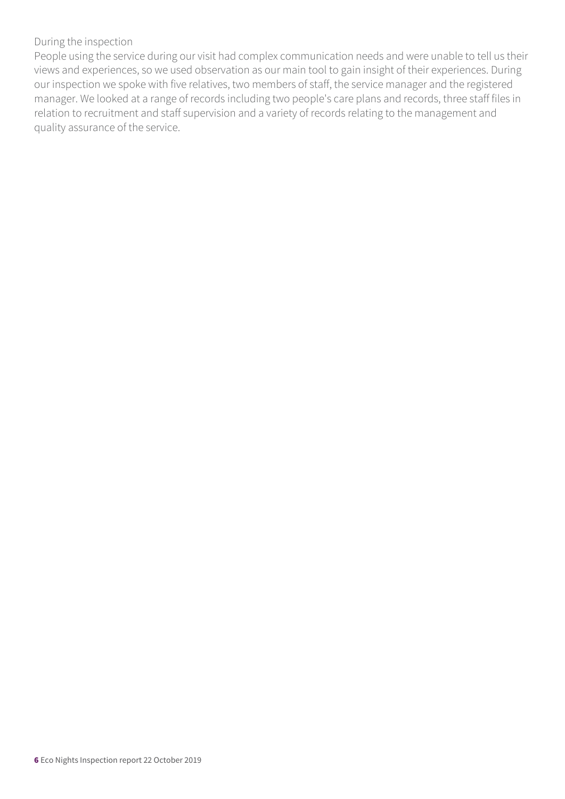#### During the inspection

People using the service during our visit had complex communication needs and were unable to tell us their views and experiences, so we used observation as our main tool to gain insight of their experiences. During our inspection we spoke with five relatives, two members of staff, the service manager and the registered manager. We looked at a range of records including two people's care plans and records, three staff files in relation to recruitment and staff supervision and a variety of records relating to the management and quality assurance of the service.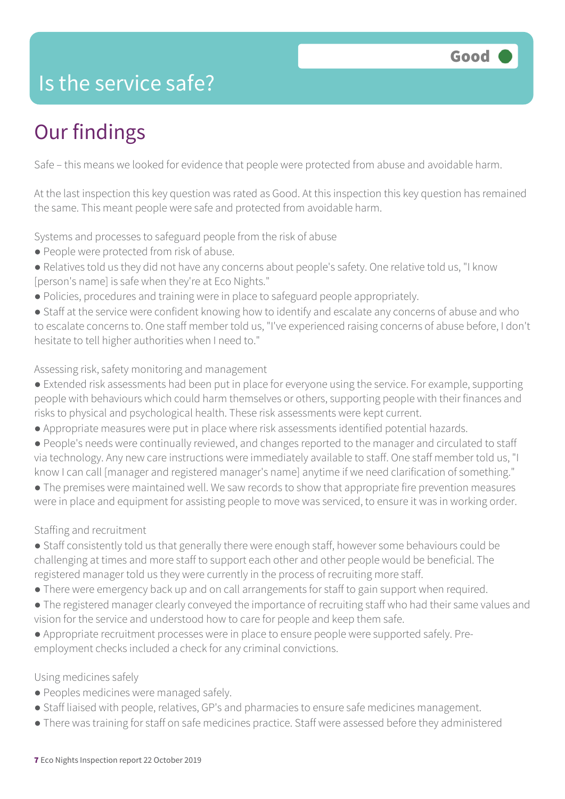### Is the service safe?

# Our findings

Safe – this means we looked for evidence that people were protected from abuse and avoidable harm.

At the last inspection this key question was rated as Good. At this inspection this key question has remained the same. This meant people were safe and protected from avoidable harm.

Systems and processes to safeguard people from the risk of abuse

- People were protected from risk of abuse.
- Relatives told us they did not have any concerns about people's safety. One relative told us, "I know [person's name] is safe when they're at Eco Nights."
- Policies, procedures and training were in place to safeguard people appropriately.
- Staff at the service were confident knowing how to identify and escalate any concerns of abuse and who to escalate concerns to. One staff member told us, "I've experienced raising concerns of abuse before, I don't hesitate to tell higher authorities when I need to."

#### Assessing risk, safety monitoring and management

- Extended risk assessments had been put in place for everyone using the service. For example, supporting people with behaviours which could harm themselves or others, supporting people with their finances and risks to physical and psychological health. These risk assessments were kept current.
- Appropriate measures were put in place where risk assessments identified potential hazards.
- People's needs were continually reviewed, and changes reported to the manager and circulated to staff via technology. Any new care instructions were immediately available to staff. One staff member told us, "I know I can call [manager and registered manager's name] anytime if we need clarification of something."

● The premises were maintained well. We saw records to show that appropriate fire prevention measures were in place and equipment for assisting people to move was serviced, to ensure it was in working order.

### Staffing and recruitment

- Staff consistently told us that generally there were enough staff, however some behaviours could be challenging at times and more staff to support each other and other people would be beneficial. The registered manager told us they were currently in the process of recruiting more staff.
- There were emergency back up and on call arrangements for staff to gain support when required.
- The registered manager clearly conveyed the importance of recruiting staff who had their same values and vision for the service and understood how to care for people and keep them safe.
- Appropriate recruitment processes were in place to ensure people were supported safely. Preemployment checks included a check for any criminal convictions.

### Using medicines safely

- Peoples medicines were managed safely.
- Staff liaised with people, relatives, GP's and pharmacies to ensure safe medicines management.
- There was training for staff on safe medicines practice. Staff were assessed before they administered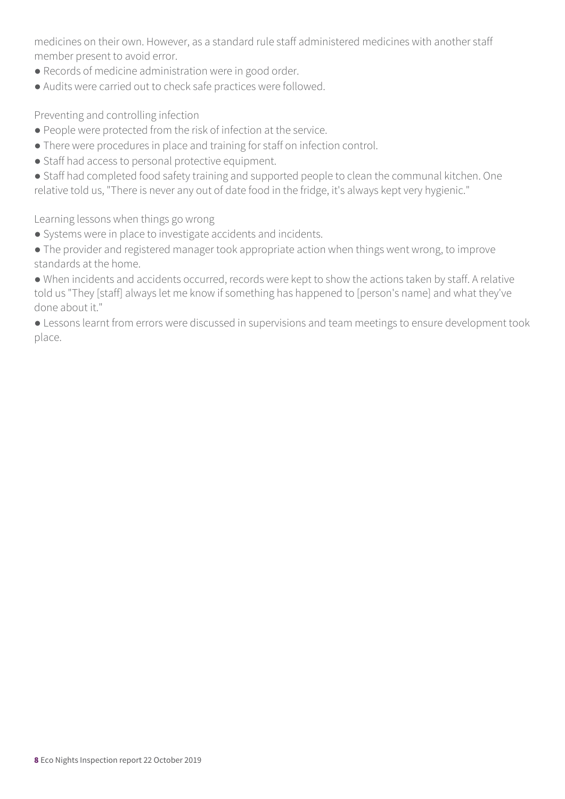medicines on their own. However, as a standard rule staff administered medicines with another staff member present to avoid error.

- Records of medicine administration were in good order.
- Audits were carried out to check safe practices were followed.

Preventing and controlling infection

- People were protected from the risk of infection at the service.
- There were procedures in place and training for staff on infection control.
- Staff had access to personal protective equipment.
- Staff had completed food safety training and supported people to clean the communal kitchen. One relative told us, "There is never any out of date food in the fridge, it's always kept very hygienic."

Learning lessons when things go wrong

- Systems were in place to investigate accidents and incidents.
- The provider and registered manager took appropriate action when things went wrong, to improve standards at the home.

● When incidents and accidents occurred, records were kept to show the actions taken by staff. A relative told us "They [staff] always let me know if something has happened to [person's name] and what they've done about it."

● Lessons learnt from errors were discussed in supervisions and team meetings to ensure development took place.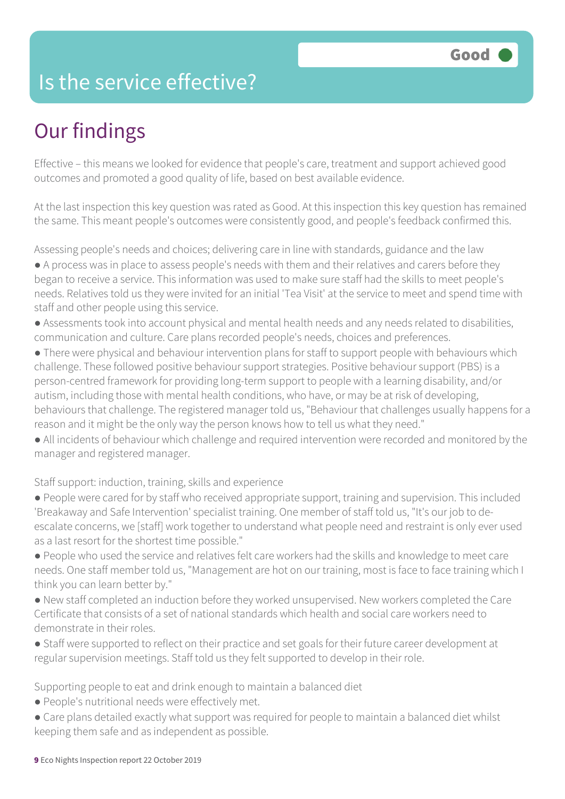### Is the service effective?

# Our findings

Effective – this means we looked for evidence that people's care, treatment and support achieved good outcomes and promoted a good quality of life, based on best available evidence.

At the last inspection this key question was rated as Good. At this inspection this key question has remained the same. This meant people's outcomes were consistently good, and people's feedback confirmed this.

Assessing people's needs and choices; delivering care in line with standards, guidance and the law

- A process was in place to assess people's needs with them and their relatives and carers before they began to receive a service. This information was used to make sure staff had the skills to meet people's needs. Relatives told us they were invited for an initial 'Tea Visit' at the service to meet and spend time with staff and other people using this service.
- Assessments took into account physical and mental health needs and any needs related to disabilities, communication and culture. Care plans recorded people's needs, choices and preferences.
- There were physical and behaviour intervention plans for staff to support people with behaviours which challenge. These followed positive behaviour support strategies. Positive behaviour support (PBS) is a person-centred framework for providing long-term support to people with a learning disability, and/or autism, including those with mental health conditions, who have, or may be at risk of developing, behaviours that challenge. The registered manager told us, "Behaviour that challenges usually happens for a reason and it might be the only way the person knows how to tell us what they need."
- All incidents of behaviour which challenge and required intervention were recorded and monitored by the manager and registered manager.

### Staff support: induction, training, skills and experience

- People were cared for by staff who received appropriate support, training and supervision. This included 'Breakaway and Safe Intervention' specialist training. One member of staff told us, "It's our job to deescalate concerns, we [staff] work together to understand what people need and restraint is only ever used as a last resort for the shortest time possible."
- People who used the service and relatives felt care workers had the skills and knowledge to meet care needs. One staff member told us, "Management are hot on our training, most is face to face training which I think you can learn better by."
- New staff completed an induction before they worked unsupervised. New workers completed the Care Certificate that consists of a set of national standards which health and social care workers need to demonstrate in their roles.
- Staff were supported to reflect on their practice and set goals for their future career development at regular supervision meetings. Staff told us they felt supported to develop in their role.

Supporting people to eat and drink enough to maintain a balanced diet

- People's nutritional needs were effectively met.
- Care plans detailed exactly what support was required for people to maintain a balanced diet whilst keeping them safe and as independent as possible.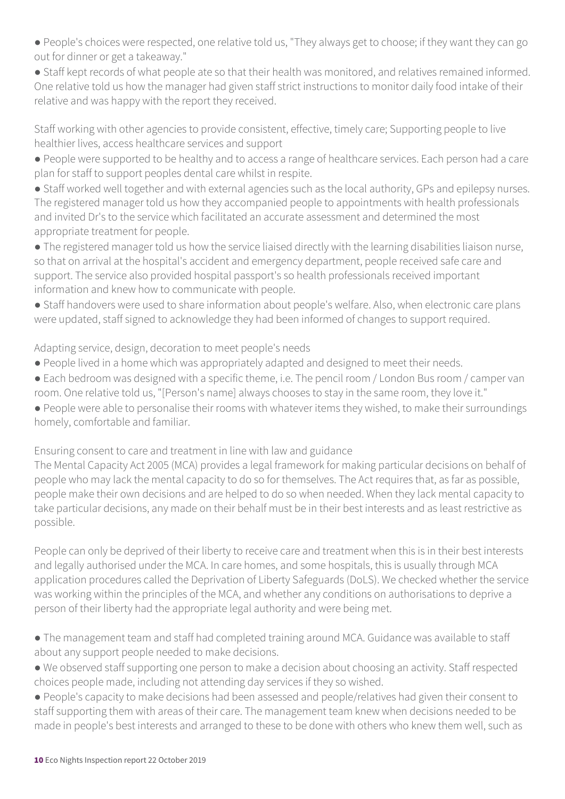- People's choices were respected, one relative told us, "They always get to choose; if they want they can go out for dinner or get a takeaway."
- Staff kept records of what people ate so that their health was monitored, and relatives remained informed. One relative told us how the manager had given staff strict instructions to monitor daily food intake of their relative and was happy with the report they received.

Staff working with other agencies to provide consistent, effective, timely care; Supporting people to live healthier lives, access healthcare services and support

- People were supported to be healthy and to access a range of healthcare services. Each person had a care plan for staff to support peoples dental care whilst in respite.
- Staff worked well together and with external agencies such as the local authority, GPs and epilepsy nurses. The registered manager told us how they accompanied people to appointments with health professionals and invited Dr's to the service which facilitated an accurate assessment and determined the most appropriate treatment for people.
- The registered manager told us how the service liaised directly with the learning disabilities liaison nurse, so that on arrival at the hospital's accident and emergency department, people received safe care and support. The service also provided hospital passport's so health professionals received important information and knew how to communicate with people.
- Staff handovers were used to share information about people's welfare. Also, when electronic care plans were updated, staff signed to acknowledge they had been informed of changes to support required.

Adapting service, design, decoration to meet people's needs

- People lived in a home which was appropriately adapted and designed to meet their needs.
- Each bedroom was designed with a specific theme, i.e. The pencil room / London Bus room / camper van room. One relative told us, "[Person's name] always chooses to stay in the same room, they love it."
- People were able to personalise their rooms with whatever items they wished, to make their surroundings homely, comfortable and familiar.

Ensuring consent to care and treatment in line with law and guidance

The Mental Capacity Act 2005 (MCA) provides a legal framework for making particular decisions on behalf of people who may lack the mental capacity to do so for themselves. The Act requires that, as far as possible, people make their own decisions and are helped to do so when needed. When they lack mental capacity to take particular decisions, any made on their behalf must be in their best interests and as least restrictive as possible.

People can only be deprived of their liberty to receive care and treatment when this is in their best interests and legally authorised under the MCA. In care homes, and some hospitals, this is usually through MCA application procedures called the Deprivation of Liberty Safeguards (DoLS). We checked whether the service was working within the principles of the MCA, and whether any conditions on authorisations to deprive a person of their liberty had the appropriate legal authority and were being met.

- The management team and staff had completed training around MCA. Guidance was available to staff about any support people needed to make decisions.
- We observed staff supporting one person to make a decision about choosing an activity. Staff respected choices people made, including not attending day services if they so wished.
- People's capacity to make decisions had been assessed and people/relatives had given their consent to staff supporting them with areas of their care. The management team knew when decisions needed to be made in people's best interests and arranged to these to be done with others who knew them well, such as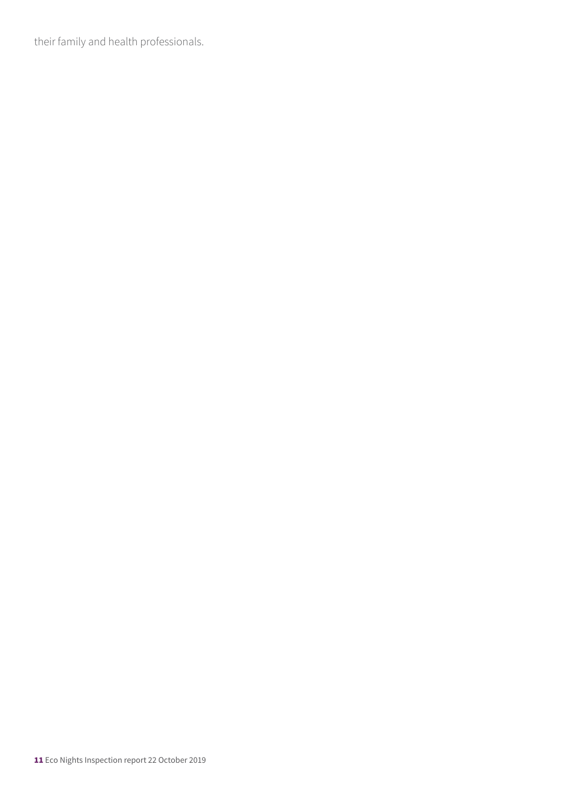their family and health professionals.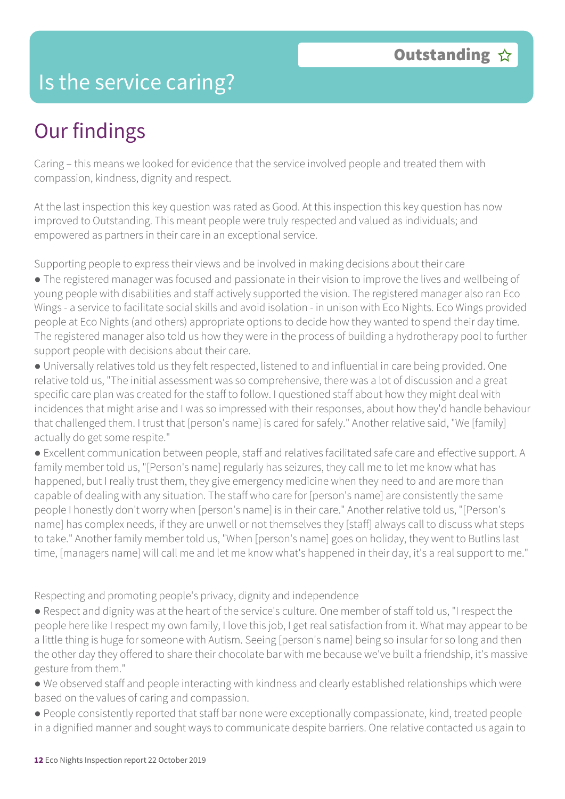### Is the service caring?

## Our findings

Caring – this means we looked for evidence that the service involved people and treated them with compassion, kindness, dignity and respect.

At the last inspection this key question was rated as Good. At this inspection this key question has now improved to Outstanding. This meant people were truly respected and valued as individuals; and empowered as partners in their care in an exceptional service.

Supporting people to express their views and be involved in making decisions about their care

● The registered manager was focused and passionate in their vision to improve the lives and wellbeing of young people with disabilities and staff actively supported the vision. The registered manager also ran Eco Wings - a service to facilitate social skills and avoid isolation - in unison with Eco Nights. Eco Wings provided people at Eco Nights (and others) appropriate options to decide how they wanted to spend their day time. The registered manager also told us how they were in the process of building a hydrotherapy pool to further support people with decisions about their care.

● Universally relatives told us they felt respected, listened to and influential in care being provided. One relative told us, "The initial assessment was so comprehensive, there was a lot of discussion and a great specific care plan was created for the staff to follow. I questioned staff about how they might deal with incidences that might arise and I was so impressed with their responses, about how they'd handle behaviour that challenged them. I trust that [person's name] is cared for safely." Another relative said, "We [family] actually do get some respite."

● Excellent communication between people, staff and relatives facilitated safe care and effective support. A family member told us, "[Person's name] regularly has seizures, they call me to let me know what has happened, but I really trust them, they give emergency medicine when they need to and are more than capable of dealing with any situation. The staff who care for [person's name] are consistently the same people I honestly don't worry when [person's name] is in their care." Another relative told us, "[Person's name] has complex needs, if they are unwell or not themselves they [staff] always call to discuss what steps to take." Another family member told us, "When [person's name] goes on holiday, they went to Butlins last time, [managers name] will call me and let me know what's happened in their day, it's a real support to me."

Respecting and promoting people's privacy, dignity and independence

● Respect and dignity was at the heart of the service's culture. One member of staff told us, "I respect the people here like I respect my own family, I love this job, I get real satisfaction from it. What may appear to be a little thing is huge for someone with Autism. Seeing [person's name] being so insular for so long and then the other day they offered to share their chocolate bar with me because we've built a friendship, it's massive gesture from them."

● We observed staff and people interacting with kindness and clearly established relationships which were based on the values of caring and compassion.

● People consistently reported that staff bar none were exceptionally compassionate, kind, treated people in a dignified manner and sought ways to communicate despite barriers. One relative contacted us again to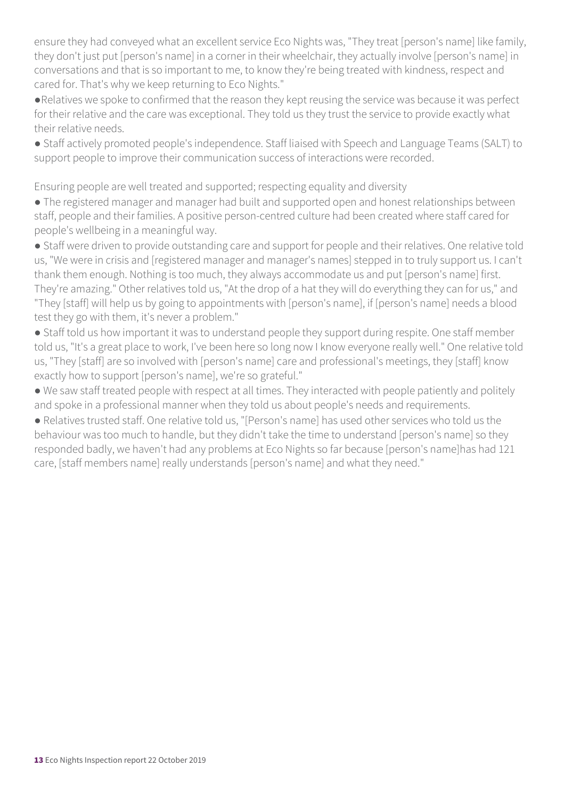ensure they had conveyed what an excellent service Eco Nights was, "They treat [person's name] like family, they don't just put [person's name] in a corner in their wheelchair, they actually involve [person's name] in conversations and that is so important to me, to know they're being treated with kindness, respect and cared for. That's why we keep returning to Eco Nights."

●Relatives we spoke to confirmed that the reason they kept reusing the service was because it was perfect for their relative and the care was exceptional. They told us they trust the service to provide exactly what their relative needs.

● Staff actively promoted people's independence. Staff liaised with Speech and Language Teams (SALT) to support people to improve their communication success of interactions were recorded.

Ensuring people are well treated and supported; respecting equality and diversity

● The registered manager and manager had built and supported open and honest relationships between staff, people and their families. A positive person-centred culture had been created where staff cared for people's wellbeing in a meaningful way.

● Staff were driven to provide outstanding care and support for people and their relatives. One relative told us, "We were in crisis and [registered manager and manager's names] stepped in to truly support us. I can't thank them enough. Nothing is too much, they always accommodate us and put [person's name] first. They're amazing." Other relatives told us, "At the drop of a hat they will do everything they can for us," and "They [staff] will help us by going to appointments with [person's name], if [person's name] needs a blood test they go with them, it's never a problem."

● Staff told us how important it was to understand people they support during respite. One staff member told us, "It's a great place to work, I've been here so long now I know everyone really well." One relative told us, "They [staff] are so involved with [person's name] care and professional's meetings, they [staff] know exactly how to support [person's name], we're so grateful."

● We saw staff treated people with respect at all times. They interacted with people patiently and politely and spoke in a professional manner when they told us about people's needs and requirements.

● Relatives trusted staff. One relative told us, "[Person's name] has used other services who told us the behaviour was too much to handle, but they didn't take the time to understand [person's name] so they responded badly, we haven't had any problems at Eco Nights so far because [person's name]has had 121 care, [staff members name] really understands [person's name] and what they need."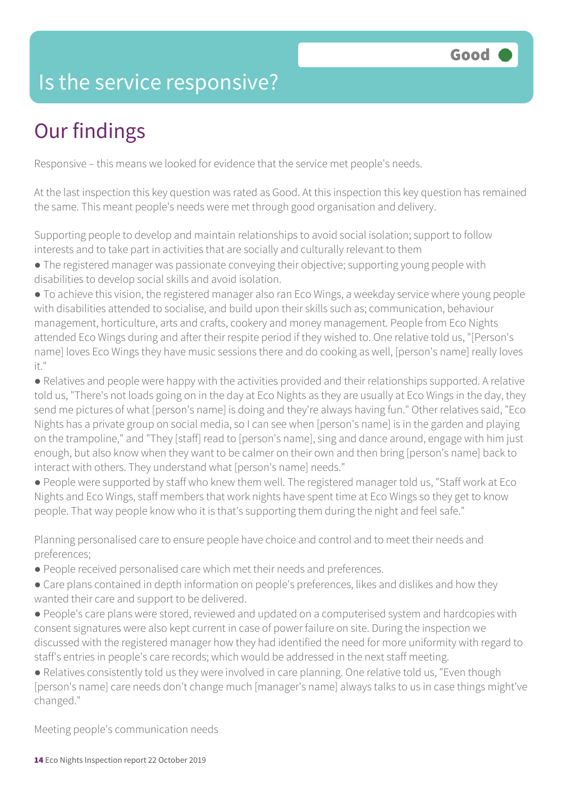### Is the service responsive?

# Our findings

Responsive – this means we looked for evidence that the service met people's needs.

At the last inspection this key question was rated as Good. At this inspection this key question has remained the same. This meant people's needs were met through good organisation and delivery.

Supporting people to develop and maintain relationships to avoid social isolation; support to follow interests and to take part in activities that are socially and culturally relevant to them

- The registered manager was passionate conveying their objective; supporting young people with disabilities to develop social skills and avoid isolation.
- To achieve this vision, the registered manager also ran Eco Wings, a weekday service where young people with disabilities attended to socialise, and build upon their skills such as; communication, behaviour management, horticulture, arts and crafts, cookery and money management. People from Eco Nights attended Eco Wings during and after their respite period if they wished to. One relative told us, "[Person's name] loves Eco Wings they have music sessions there and do cooking as well, [person's name] really loves it."
- Relatives and people were happy with the activities provided and their relationships supported. A relative told us, "There's not loads going on in the day at Eco Nights as they are usually at Eco Wings in the day, they send me pictures of what [person's name] is doing and they're always having fun." Other relatives said, "Eco Nights has a private group on social media, so I can see when [person's name] is in the garden and playing on the trampoline," and "They [staff] read to [person's name], sing and dance around, engage with him just enough, but also know when they want to be calmer on their own and then bring [person's name] back to interact with others. They understand what [person's name] needs."
- People were supported by staff who knew them well. The registered manager told us, "Staff work at Eco Nights and Eco Wings, staff members that work nights have spent time at Eco Wings so they get to know people. That way people know who it is that's supporting them during the night and feel safe."

Planning personalised care to ensure people have choice and control and to meet their needs and preferences;

- People received personalised care which met their needs and preferences.
- Care plans contained in depth information on people's preferences, likes and dislikes and how they wanted their care and support to be delivered.
- People's care plans were stored, reviewed and updated on a computerised system and hardcopies with consent signatures were also kept current in case of power failure on site. During the inspection we discussed with the registered manager how they had identified the need for more uniformity with regard to staff's entries in people's care records; which would be addressed in the next staff meeting.
- Relatives consistently told us they were involved in care planning. One relative told us, "Even though [person's name] care needs don't change much [manager's name] always talks to us in case things might've changed."

Meeting people's communication needs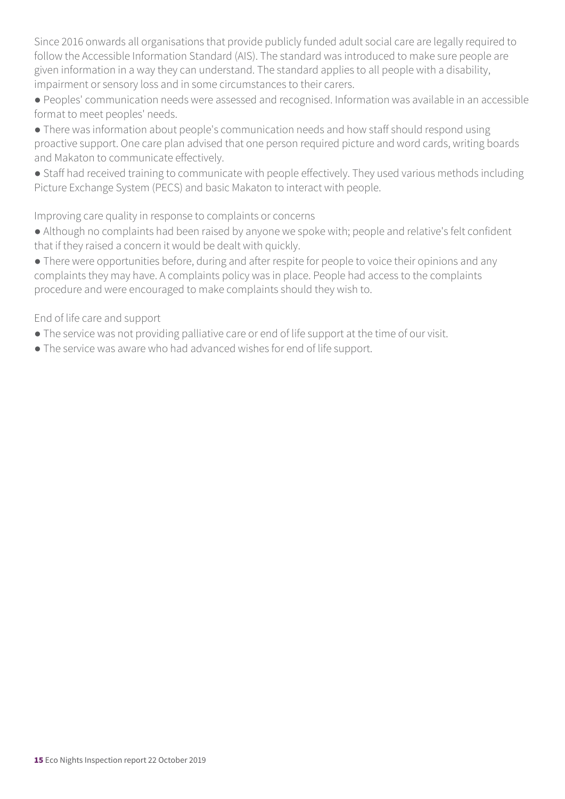Since 2016 onwards all organisations that provide publicly funded adult social care are legally required to follow the Accessible Information Standard (AIS). The standard was introduced to make sure people are given information in a way they can understand. The standard applies to all people with a disability, impairment or sensory loss and in some circumstances to their carers.

● Peoples' communication needs were assessed and recognised. Information was available in an accessible format to meet peoples' needs.

- There was information about people's communication needs and how staff should respond using proactive support. One care plan advised that one person required picture and word cards, writing boards and Makaton to communicate effectively.
- Staff had received training to communicate with people effectively. They used various methods including Picture Exchange System (PECS) and basic Makaton to interact with people.

#### Improving care quality in response to complaints or concerns

- Although no complaints had been raised by anyone we spoke with; people and relative's felt confident that if they raised a concern it would be dealt with quickly.
- There were opportunities before, during and after respite for people to voice their opinions and any complaints they may have. A complaints policy was in place. People had access to the complaints procedure and were encouraged to make complaints should they wish to.

#### End of life care and support

- The service was not providing palliative care or end of life support at the time of our visit.
- The service was aware who had advanced wishes for end of life support.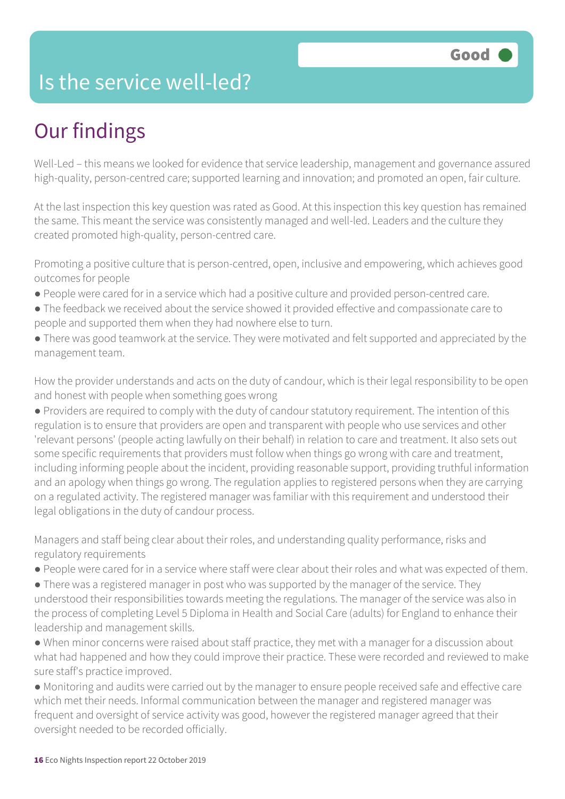### Is the service well-led?

# Our findings

Well-Led – this means we looked for evidence that service leadership, management and governance assured high-quality, person-centred care; supported learning and innovation; and promoted an open, fair culture.

At the last inspection this key question was rated as Good. At this inspection this key question has remained the same. This meant the service was consistently managed and well-led. Leaders and the culture they created promoted high-quality, person-centred care.

Promoting a positive culture that is person-centred, open, inclusive and empowering, which achieves good outcomes for people

- People were cared for in a service which had a positive culture and provided person-centred care.
- The feedback we received about the service showed it provided effective and compassionate care to people and supported them when they had nowhere else to turn.
- There was good teamwork at the service. They were motivated and felt supported and appreciated by the management team.

How the provider understands and acts on the duty of candour, which is their legal responsibility to be open and honest with people when something goes wrong

● Providers are required to comply with the duty of candour statutory requirement. The intention of this regulation is to ensure that providers are open and transparent with people who use services and other 'relevant persons' (people acting lawfully on their behalf) in relation to care and treatment. It also sets out some specific requirements that providers must follow when things go wrong with care and treatment, including informing people about the incident, providing reasonable support, providing truthful information and an apology when things go wrong. The regulation applies to registered persons when they are carrying on a regulated activity. The registered manager was familiar with this requirement and understood their legal obligations in the duty of candour process.

Managers and staff being clear about their roles, and understanding quality performance, risks and regulatory requirements

- People were cared for in a service where staff were clear about their roles and what was expected of them.
- There was a registered manager in post who was supported by the manager of the service. They understood their responsibilities towards meeting the regulations. The manager of the service was also in the process of completing Level 5 Diploma in Health and Social Care (adults) for England to enhance their leadership and management skills.
- When minor concerns were raised about staff practice, they met with a manager for a discussion about what had happened and how they could improve their practice. These were recorded and reviewed to make sure staff's practice improved.
- Monitoring and audits were carried out by the manager to ensure people received safe and effective care which met their needs. Informal communication between the manager and registered manager was frequent and oversight of service activity was good, however the registered manager agreed that their oversight needed to be recorded officially.